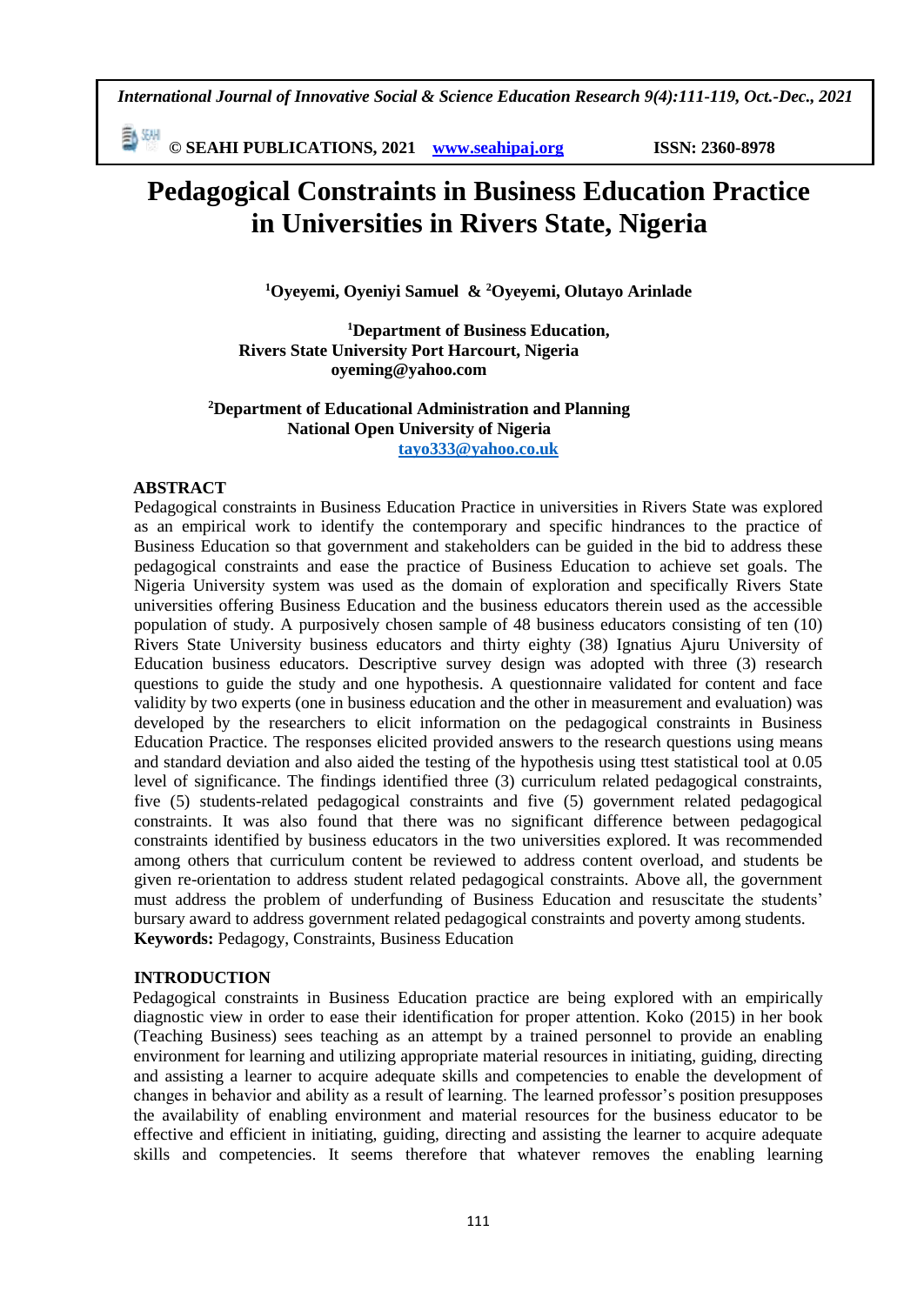ā **© SEAHI PUBLICATIONS, 2021 [www.seahipaj.org](http://www.seahipaj.org/) ISSN: 2360-8978**

# **Pedagogical Constraints in Business Education Practice in Universities in Rivers State, Nigeria**

**<sup>1</sup>Oyeyemi, Oyeniyi Samuel & <sup>2</sup>Oyeyemi, Olutayo Arinlade**

**<sup>1</sup>Department of Business Education, Rivers State University Port Harcourt, Nigeria oyeming@yahoo.com**

#### **<sup>2</sup>Department of Educational Administration and Planning National Open University of Nigeria tayo333@yahoo.co.uk**

#### **ABSTRACT**

Pedagogical constraints in Business Education Practice in universities in Rivers State was explored as an empirical work to identify the contemporary and specific hindrances to the practice of Business Education so that government and stakeholders can be guided in the bid to address these pedagogical constraints and ease the practice of Business Education to achieve set goals. The Nigeria University system was used as the domain of exploration and specifically Rivers State universities offering Business Education and the business educators therein used as the accessible population of study. A purposively chosen sample of 48 business educators consisting of ten (10) Rivers State University business educators and thirty eighty (38) Ignatius Ajuru University of Education business educators. Descriptive survey design was adopted with three (3) research questions to guide the study and one hypothesis. A questionnaire validated for content and face validity by two experts (one in business education and the other in measurement and evaluation) was developed by the researchers to elicit information on the pedagogical constraints in Business Education Practice. The responses elicited provided answers to the research questions using means and standard deviation and also aided the testing of the hypothesis using ttest statistical tool at 0.05 level of significance. The findings identified three (3) curriculum related pedagogical constraints, five (5) students-related pedagogical constraints and five (5) government related pedagogical constraints. It was also found that there was no significant difference between pedagogical constraints identified by business educators in the two universities explored. It was recommended among others that curriculum content be reviewed to address content overload, and students be given re-orientation to address student related pedagogical constraints. Above all, the government must address the problem of underfunding of Business Education and resuscitate the students' bursary award to address government related pedagogical constraints and poverty among students. **Keywords:** Pedagogy, Constraints, Business Education

#### **INTRODUCTION**

Pedagogical constraints in Business Education practice are being explored with an empirically diagnostic view in order to ease their identification for proper attention. Koko (2015) in her book (Teaching Business) sees teaching as an attempt by a trained personnel to provide an enabling environment for learning and utilizing appropriate material resources in initiating, guiding, directing and assisting a learner to acquire adequate skills and competencies to enable the development of changes in behavior and ability as a result of learning. The learned professor's position presupposes the availability of enabling environment and material resources for the business educator to be effective and efficient in initiating, guiding, directing and assisting the learner to acquire adequate skills and competencies. It seems therefore that whatever removes the enabling learning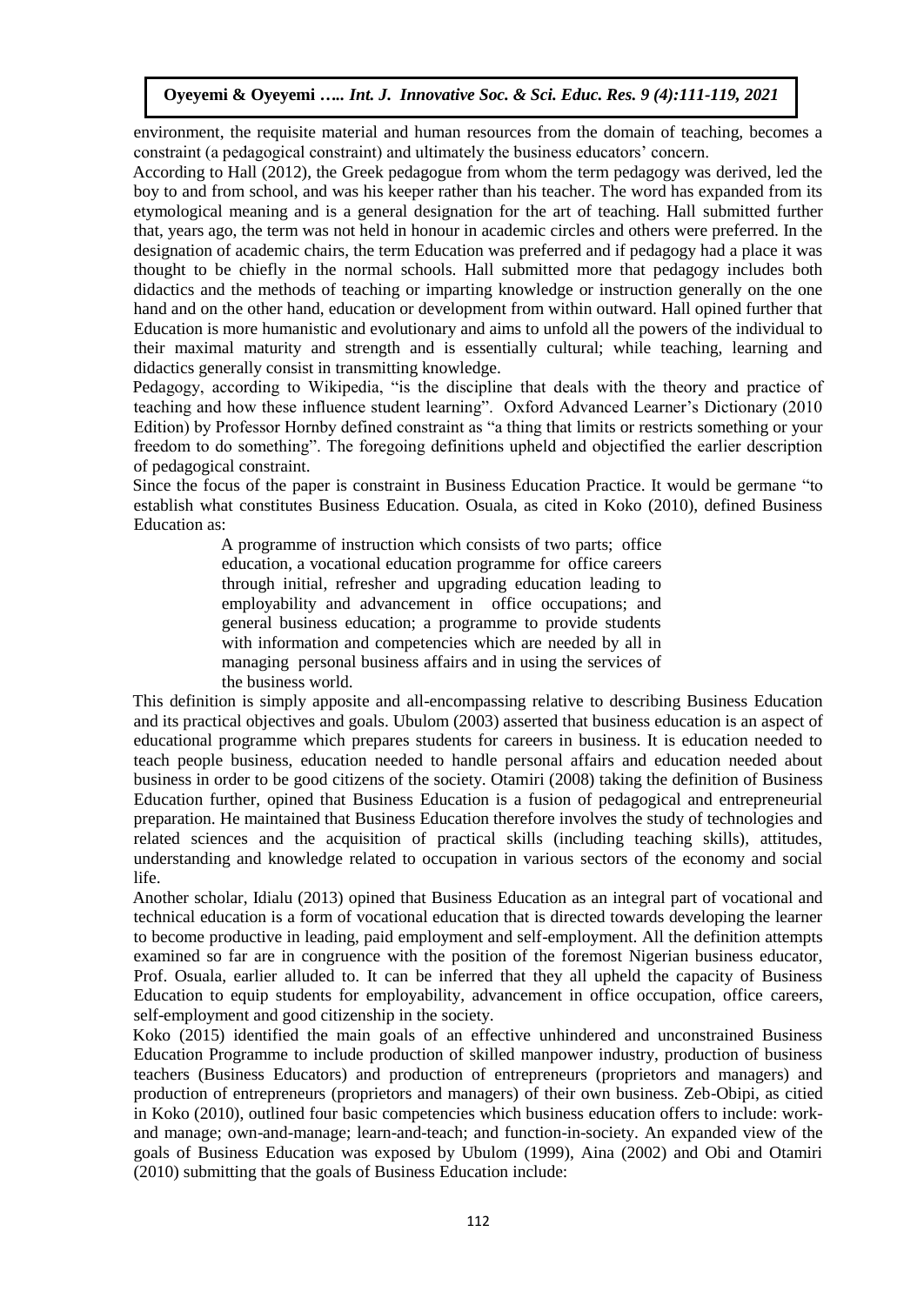environment, the requisite material and human resources from the domain of teaching, becomes a constraint (a pedagogical constraint) and ultimately the business educators' concern.

According to Hall (2012), the Greek pedagogue from whom the term pedagogy was derived, led the boy to and from school, and was his keeper rather than his teacher. The word has expanded from its etymological meaning and is a general designation for the art of teaching. Hall submitted further that, years ago, the term was not held in honour in academic circles and others were preferred. In the designation of academic chairs, the term Education was preferred and if pedagogy had a place it was thought to be chiefly in the normal schools. Hall submitted more that pedagogy includes both didactics and the methods of teaching or imparting knowledge or instruction generally on the one hand and on the other hand, education or development from within outward. Hall opined further that Education is more humanistic and evolutionary and aims to unfold all the powers of the individual to their maximal maturity and strength and is essentially cultural; while teaching, learning and didactics generally consist in transmitting knowledge.

Pedagogy, according to Wikipedia, "is the discipline that deals with the theory and practice of teaching and how these influence student learning". Oxford Advanced Learner's Dictionary (2010 Edition) by Professor Hornby defined constraint as "a thing that limits or restricts something or your freedom to do something". The foregoing definitions upheld and objectified the earlier description of pedagogical constraint.

Since the focus of the paper is constraint in Business Education Practice. It would be germane "to establish what constitutes Business Education. Osuala, as cited in Koko (2010), defined Business Education as:

> A programme of instruction which consists of two parts; office education, a vocational education programme for office careers through initial, refresher and upgrading education leading to employability and advancement in office occupations; and general business education; a programme to provide students with information and competencies which are needed by all in managing personal business affairs and in using the services of the business world.

This definition is simply apposite and all-encompassing relative to describing Business Education and its practical objectives and goals. Ubulom (2003) asserted that business education is an aspect of educational programme which prepares students for careers in business. It is education needed to teach people business, education needed to handle personal affairs and education needed about business in order to be good citizens of the society. Otamiri (2008) taking the definition of Business Education further, opined that Business Education is a fusion of pedagogical and entrepreneurial preparation. He maintained that Business Education therefore involves the study of technologies and related sciences and the acquisition of practical skills (including teaching skills), attitudes, understanding and knowledge related to occupation in various sectors of the economy and social life.

Another scholar, Idialu (2013) opined that Business Education as an integral part of vocational and technical education is a form of vocational education that is directed towards developing the learner to become productive in leading, paid employment and self-employment. All the definition attempts examined so far are in congruence with the position of the foremost Nigerian business educator, Prof. Osuala, earlier alluded to. It can be inferred that they all upheld the capacity of Business Education to equip students for employability, advancement in office occupation, office careers, self-employment and good citizenship in the society.

Koko (2015) identified the main goals of an effective unhindered and unconstrained Business Education Programme to include production of skilled manpower industry, production of business teachers (Business Educators) and production of entrepreneurs (proprietors and managers) and production of entrepreneurs (proprietors and managers) of their own business. Zeb-Obipi, as citied in Koko (2010), outlined four basic competencies which business education offers to include: workand manage; own-and-manage; learn-and-teach; and function-in-society. An expanded view of the goals of Business Education was exposed by Ubulom (1999), Aina (2002) and Obi and Otamiri (2010) submitting that the goals of Business Education include: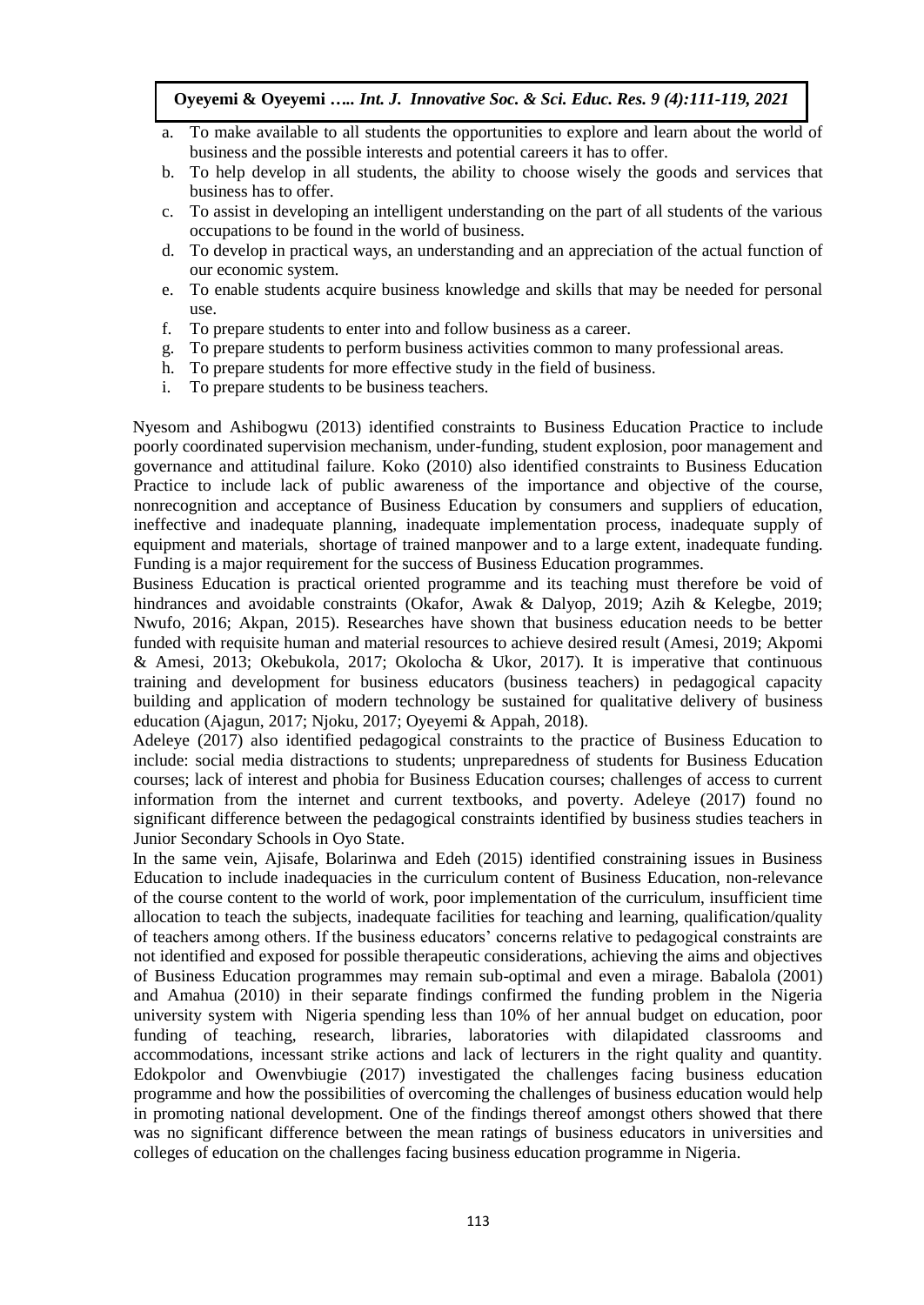- a. To make available to all students the opportunities to explore and learn about the world of business and the possible interests and potential careers it has to offer.
- b. To help develop in all students, the ability to choose wisely the goods and services that business has to offer.
- c. To assist in developing an intelligent understanding on the part of all students of the various occupations to be found in the world of business.
- d. To develop in practical ways, an understanding and an appreciation of the actual function of our economic system.
- e. To enable students acquire business knowledge and skills that may be needed for personal use.
- f. To prepare students to enter into and follow business as a career.
- g. To prepare students to perform business activities common to many professional areas.
- h. To prepare students for more effective study in the field of business.
- i. To prepare students to be business teachers.

Nyesom and Ashibogwu (2013) identified constraints to Business Education Practice to include poorly coordinated supervision mechanism, under-funding, student explosion, poor management and governance and attitudinal failure. Koko (2010) also identified constraints to Business Education Practice to include lack of public awareness of the importance and objective of the course, nonrecognition and acceptance of Business Education by consumers and suppliers of education, ineffective and inadequate planning, inadequate implementation process, inadequate supply of equipment and materials, shortage of trained manpower and to a large extent, inadequate funding. Funding is a major requirement for the success of Business Education programmes.

Business Education is practical oriented programme and its teaching must therefore be void of hindrances and avoidable constraints (Okafor, Awak & Dalyop, 2019; Azih & Kelegbe, 2019; Nwufo, 2016; Akpan, 2015). Researches have shown that business education needs to be better funded with requisite human and material resources to achieve desired result (Amesi, 2019; Akpomi & Amesi, 2013; Okebukola, 2017; Okolocha & Ukor, 2017). It is imperative that continuous training and development for business educators (business teachers) in pedagogical capacity building and application of modern technology be sustained for qualitative delivery of business education (Ajagun, 2017; Njoku, 2017; Oyeyemi & Appah, 2018).

Adeleye (2017) also identified pedagogical constraints to the practice of Business Education to include: social media distractions to students; unpreparedness of students for Business Education courses; lack of interest and phobia for Business Education courses; challenges of access to current information from the internet and current textbooks, and poverty. Adeleye (2017) found no significant difference between the pedagogical constraints identified by business studies teachers in Junior Secondary Schools in Oyo State.

In the same vein, Ajisafe, Bolarinwa and Edeh (2015) identified constraining issues in Business Education to include inadequacies in the curriculum content of Business Education, non-relevance of the course content to the world of work, poor implementation of the curriculum, insufficient time allocation to teach the subjects, inadequate facilities for teaching and learning, qualification/quality of teachers among others. If the business educators' concerns relative to pedagogical constraints are not identified and exposed for possible therapeutic considerations, achieving the aims and objectives of Business Education programmes may remain sub-optimal and even a mirage. Babalola (2001) and Amahua (2010) in their separate findings confirmed the funding problem in the Nigeria university system with Nigeria spending less than 10% of her annual budget on education, poor funding of teaching, research, libraries, laboratories with dilapidated classrooms and accommodations, incessant strike actions and lack of lecturers in the right quality and quantity. Edokpolor and Owenvbiugie (2017) investigated the challenges facing business education programme and how the possibilities of overcoming the challenges of business education would help in promoting national development. One of the findings thereof amongst others showed that there was no significant difference between the mean ratings of business educators in universities and colleges of education on the challenges facing business education programme in Nigeria.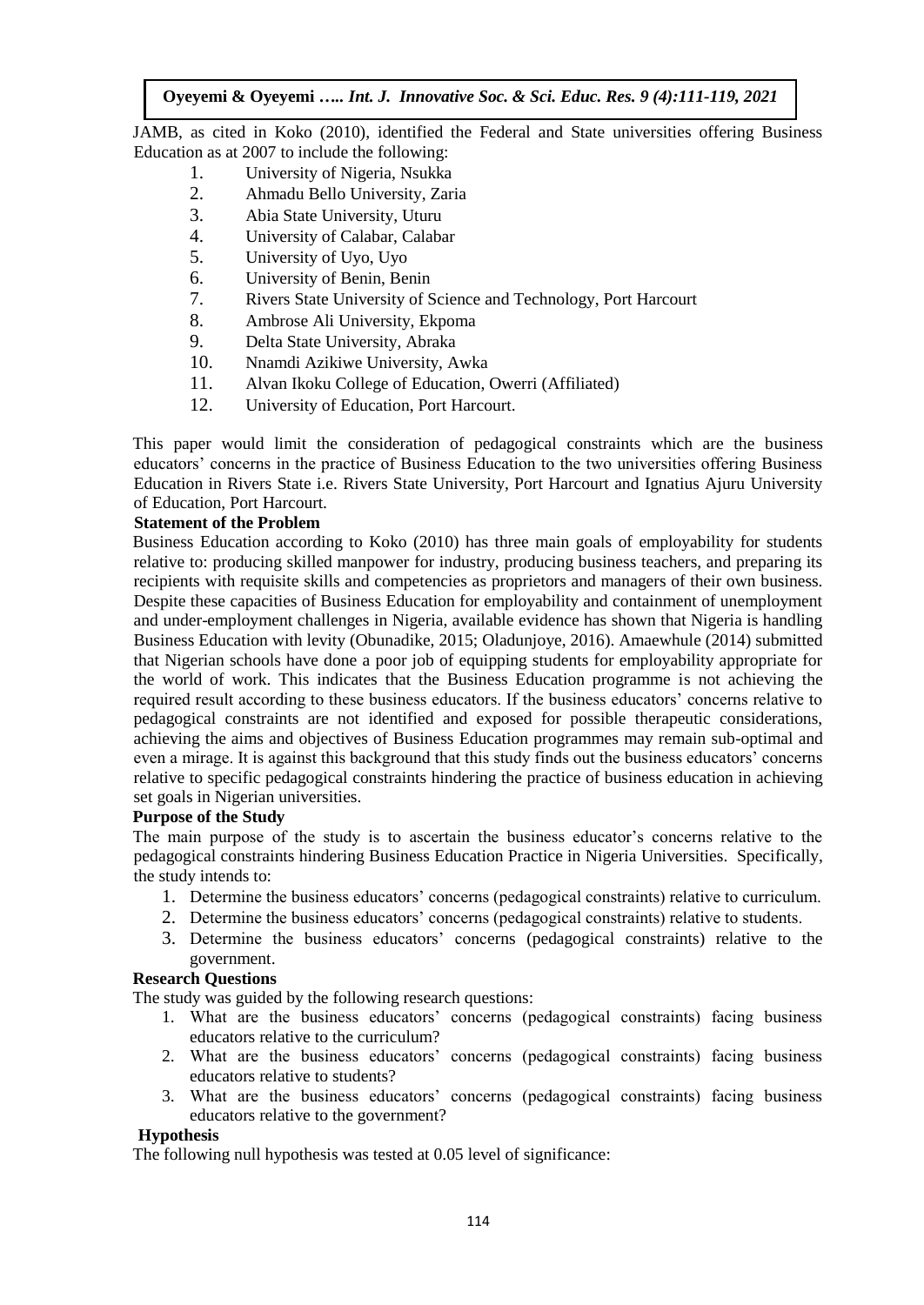JAMB, as cited in Koko (2010), identified the Federal and State universities offering Business Education as at 2007 to include the following:

- 1. University of Nigeria, Nsukka
- 2. Ahmadu Bello University, Zaria
- 3. Abia State University, Uturu
- 4. University of Calabar, Calabar
- 5. University of Uyo, Uyo
- 6. University of Benin, Benin
- 7. Rivers State University of Science and Technology, Port Harcourt
- 8. Ambrose Ali University, Ekpoma
- 9. Delta State University, Abraka
- 10. Nnamdi Azikiwe University, Awka
- 11. Alvan Ikoku College of Education, Owerri (Affiliated)
- 12. University of Education, Port Harcourt.

This paper would limit the consideration of pedagogical constraints which are the business educators' concerns in the practice of Business Education to the two universities offering Business Education in Rivers State i.e. Rivers State University, Port Harcourt and Ignatius Ajuru University of Education, Port Harcourt.

## **Statement of the Problem**

Business Education according to Koko (2010) has three main goals of employability for students relative to: producing skilled manpower for industry, producing business teachers, and preparing its recipients with requisite skills and competencies as proprietors and managers of their own business. Despite these capacities of Business Education for employability and containment of unemployment and under-employment challenges in Nigeria, available evidence has shown that Nigeria is handling Business Education with levity (Obunadike, 2015; Oladunjoye, 2016). Amaewhule (2014) submitted that Nigerian schools have done a poor job of equipping students for employability appropriate for the world of work. This indicates that the Business Education programme is not achieving the required result according to these business educators. If the business educators' concerns relative to pedagogical constraints are not identified and exposed for possible therapeutic considerations, achieving the aims and objectives of Business Education programmes may remain sub-optimal and even a mirage. It is against this background that this study finds out the business educators' concerns relative to specific pedagogical constraints hindering the practice of business education in achieving set goals in Nigerian universities.

## **Purpose of the Study**

The main purpose of the study is to ascertain the business educator's concerns relative to the pedagogical constraints hindering Business Education Practice in Nigeria Universities. Specifically, the study intends to:

- 1. Determine the business educators' concerns (pedagogical constraints) relative to curriculum.
- 2. Determine the business educators' concerns (pedagogical constraints) relative to students.
- 3. Determine the business educators' concerns (pedagogical constraints) relative to the government.

## **Research Questions**

The study was guided by the following research questions:

- 1. What are the business educators' concerns (pedagogical constraints) facing business educators relative to the curriculum?
- 2. What are the business educators' concerns (pedagogical constraints) facing business educators relative to students?
- 3. What are the business educators' concerns (pedagogical constraints) facing business educators relative to the government?

## **Hypothesis**

The following null hypothesis was tested at 0.05 level of significance: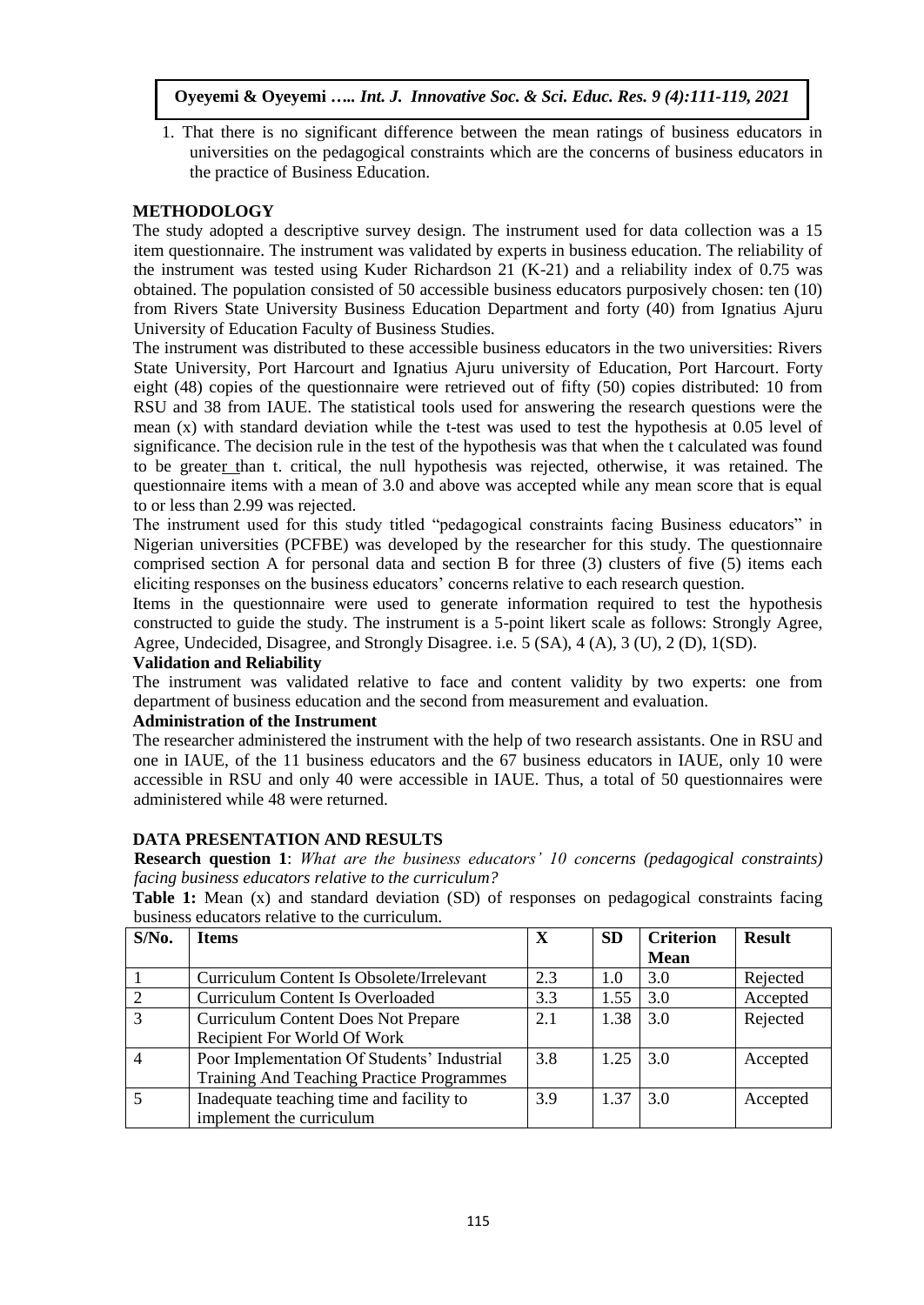1. That there is no significant difference between the mean ratings of business educators in universities on the pedagogical constraints which are the concerns of business educators in the practice of Business Education.

# **METHODOLOGY**

The study adopted a descriptive survey design. The instrument used for data collection was a 15 item questionnaire. The instrument was validated by experts in business education. The reliability of the instrument was tested using Kuder Richardson 21 (K-21) and a reliability index of 0.75 was obtained. The population consisted of 50 accessible business educators purposively chosen: ten (10) from Rivers State University Business Education Department and forty (40) from Ignatius Ajuru University of Education Faculty of Business Studies.

The instrument was distributed to these accessible business educators in the two universities: Rivers State University, Port Harcourt and Ignatius Ajuru university of Education, Port Harcourt. Forty eight (48) copies of the questionnaire were retrieved out of fifty (50) copies distributed: 10 from RSU and 38 from IAUE. The statistical tools used for answering the research questions were the mean (x) with standard deviation while the t-test was used to test the hypothesis at 0.05 level of significance. The decision rule in the test of the hypothesis was that when the t calculated was found to be greater than t. critical, the null hypothesis was rejected, otherwise, it was retained. The questionnaire items with a mean of 3.0 and above was accepted while any mean score that is equal to or less than 2.99 was rejected.

The instrument used for this study titled "pedagogical constraints facing Business educators" in Nigerian universities (PCFBE) was developed by the researcher for this study. The questionnaire comprised section A for personal data and section B for three (3) clusters of five (5) items each eliciting responses on the business educators' concerns relative to each research question.

Items in the questionnaire were used to generate information required to test the hypothesis constructed to guide the study. The instrument is a 5-point likert scale as follows: Strongly Agree, Agree, Undecided, Disagree, and Strongly Disagree. i.e. 5 (SA), 4 (A), 3 (U), 2 (D), 1(SD).

## **Validation and Reliability**

The instrument was validated relative to face and content validity by two experts: one from department of business education and the second from measurement and evaluation.

## **Administration of the Instrument**

The researcher administered the instrument with the help of two research assistants. One in RSU and one in IAUE, of the 11 business educators and the 67 business educators in IAUE, only 10 were accessible in RSU and only 40 were accessible in IAUE. Thus, a total of 50 questionnaires were administered while 48 were returned.

## **DATA PRESENTATION AND RESULTS**

**Research question 1**: *What are the business educators' 10 concerns (pedagogical constraints) facing business educators relative to the curriculum?*

**Table 1:** Mean (x) and standard deviation (SD) of responses on pedagogical constraints facing business educators relative to the curriculum.

| $S/N0$ .       | <b>Items</b>                                | $\mathbf X$ | <b>SD</b> | <b>Criterion</b> | <b>Result</b> |
|----------------|---------------------------------------------|-------------|-----------|------------------|---------------|
|                |                                             |             |           | <b>Mean</b>      |               |
|                | Curriculum Content Is Obsolete/Irrelevant   | 2.3         | 1.0       | 3.0              | Rejected      |
| $\overline{2}$ | Curriculum Content Is Overloaded            | 3.3         | 1.55      | 3.0              | Accepted      |
| 3              | <b>Curriculum Content Does Not Prepare</b>  | 2.1         | 1.38      | 3.0              | Rejected      |
|                | Recipient For World Of Work                 |             |           |                  |               |
| $\overline{4}$ | Poor Implementation Of Students' Industrial | 3.8         | 1.25      | 3.0              | Accepted      |
|                | Training And Teaching Practice Programmes   |             |           |                  |               |
| 5              | Inadequate teaching time and facility to    | 3.9         | 1.37      | 3.0              | Accepted      |
|                | implement the curriculum                    |             |           |                  |               |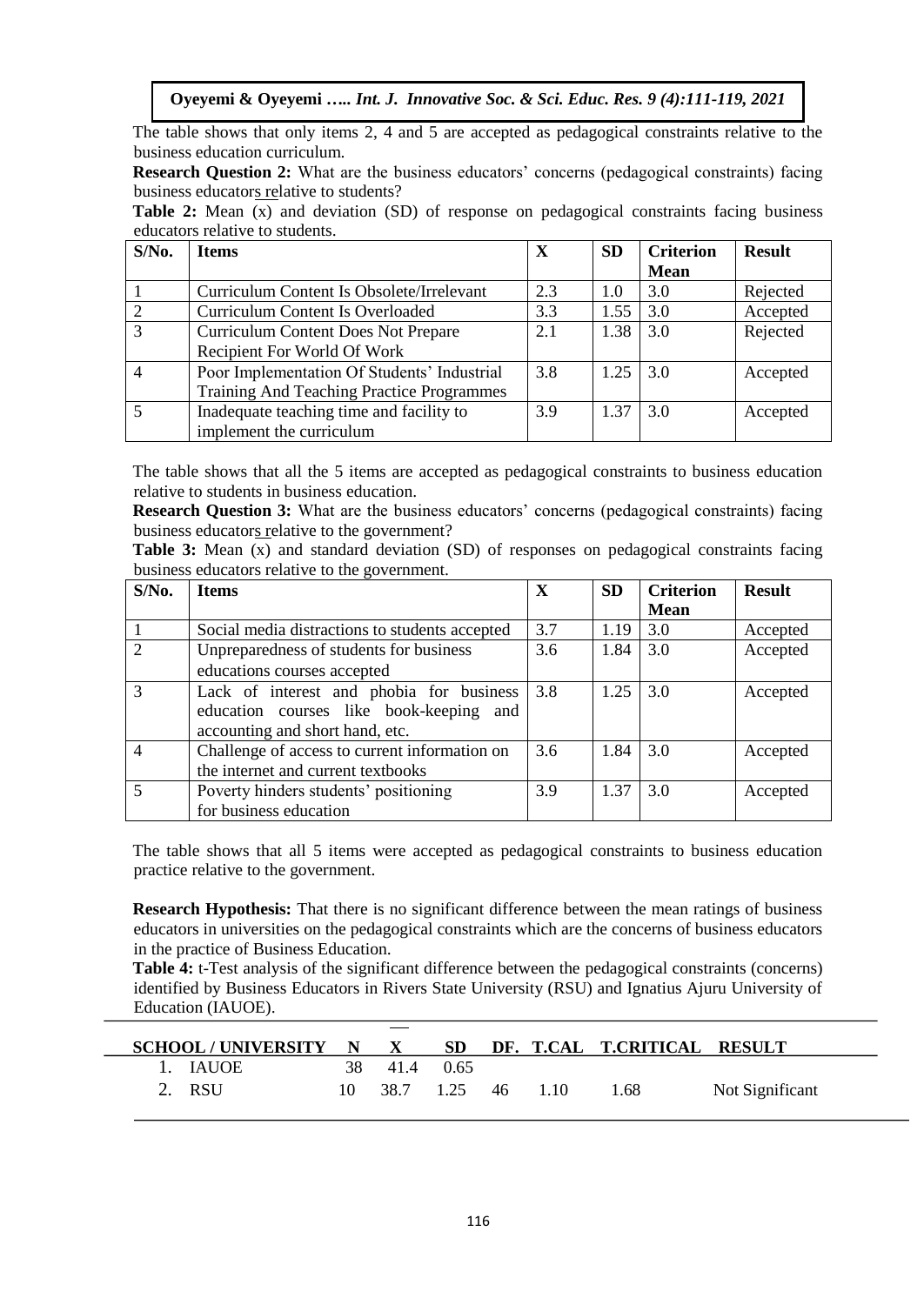The table shows that only items 2, 4 and 5 are accepted as pedagogical constraints relative to the business education curriculum.

**Research Question 2:** What are the business educators' concerns (pedagogical constraints) facing business educators relative to students?

Table 2: Mean (x) and deviation (SD) of response on pedagogical constraints facing business educators relative to students.

| $S/N0$ . | <b>Items</b>                                |     | <b>SD</b> | <b>Criterion</b> | <b>Result</b> |
|----------|---------------------------------------------|-----|-----------|------------------|---------------|
|          |                                             |     |           | <b>Mean</b>      |               |
|          | Curriculum Content Is Obsolete/Irrelevant   | 2.3 | 1.0       | 3.0              | Rejected      |
|          | <b>Curriculum Content Is Overloaded</b>     | 3.3 | 1.55      | 3.0              | Accepted      |
| 3        | <b>Curriculum Content Does Not Prepare</b>  | 2.1 | 1.38      | 3.0              | Rejected      |
|          | Recipient For World Of Work                 |     |           |                  |               |
|          | Poor Implementation Of Students' Industrial | 3.8 | 1.25      | 3.0              | Accepted      |
|          | Training And Teaching Practice Programmes   |     |           |                  |               |
|          | Inadequate teaching time and facility to    | 3.9 | 1.37      | 3.0              | Accepted      |
|          | implement the curriculum                    |     |           |                  |               |

The table shows that all the 5 items are accepted as pedagogical constraints to business education relative to students in business education.

**Research Question 3:** What are the business educators' concerns (pedagogical constraints) facing business educators relative to the government?

**Table 3:** Mean (x) and standard deviation (SD) of responses on pedagogical constraints facing business educators relative to the government.

| $S/N0$ .       | <b>Items</b>                                   |     | <b>SD</b> | <b>Criterion</b> | <b>Result</b> |
|----------------|------------------------------------------------|-----|-----------|------------------|---------------|
|                |                                                |     |           | <b>Mean</b>      |               |
|                | Social media distractions to students accepted | 3.7 | 1.19      | 3.0              | Accepted      |
|                | Unpreparedness of students for business        | 3.6 | 1.84      | 3.0              | Accepted      |
|                | educations courses accepted                    |     |           |                  |               |
| 3              | Lack of interest and phobia for business       | 3.8 | 1.25      | 3.0              | Accepted      |
|                | education courses like book-keeping<br>and     |     |           |                  |               |
|                | accounting and short hand, etc.                |     |           |                  |               |
| 4              | Challenge of access to current information on  | 3.6 | 1.84      | 3.0              | Accepted      |
|                | the internet and current textbooks             |     |           |                  |               |
| $\overline{5}$ | Poverty hinders students' positioning          | 3.9 | 1.37      | 3.0              | Accepted      |
|                | for business education                         |     |           |                  |               |

The table shows that all 5 items were accepted as pedagogical constraints to business education practice relative to the government.

**Research Hypothesis:** That there is no significant difference between the mean ratings of business educators in universities on the pedagogical constraints which are the concerns of business educators in the practice of Business Education.

**Table 4:** t-Test analysis of the significant difference between the pedagogical constraints (concerns) identified by Business Educators in Rivers State University (RSU) and Ignatius Ajuru University of Education (IAUOE).

| <b>SCHOOL/UNIVERSITY N</b> |    | $\mathbf{X}$ | <b>SD</b> |     |      | DF. T.CAL T.CRITICAL RESULT |                 |
|----------------------------|----|--------------|-----------|-----|------|-----------------------------|-----------------|
| 1. IAUOE                   |    | 38 41.4      | 0.65      |     |      |                             |                 |
| 2. RSU                     | 10 | 38.7 1.25    |           | -46 | 1.10 | 1.68                        | Not Significant |
|                            |    |              |           |     |      |                             |                 |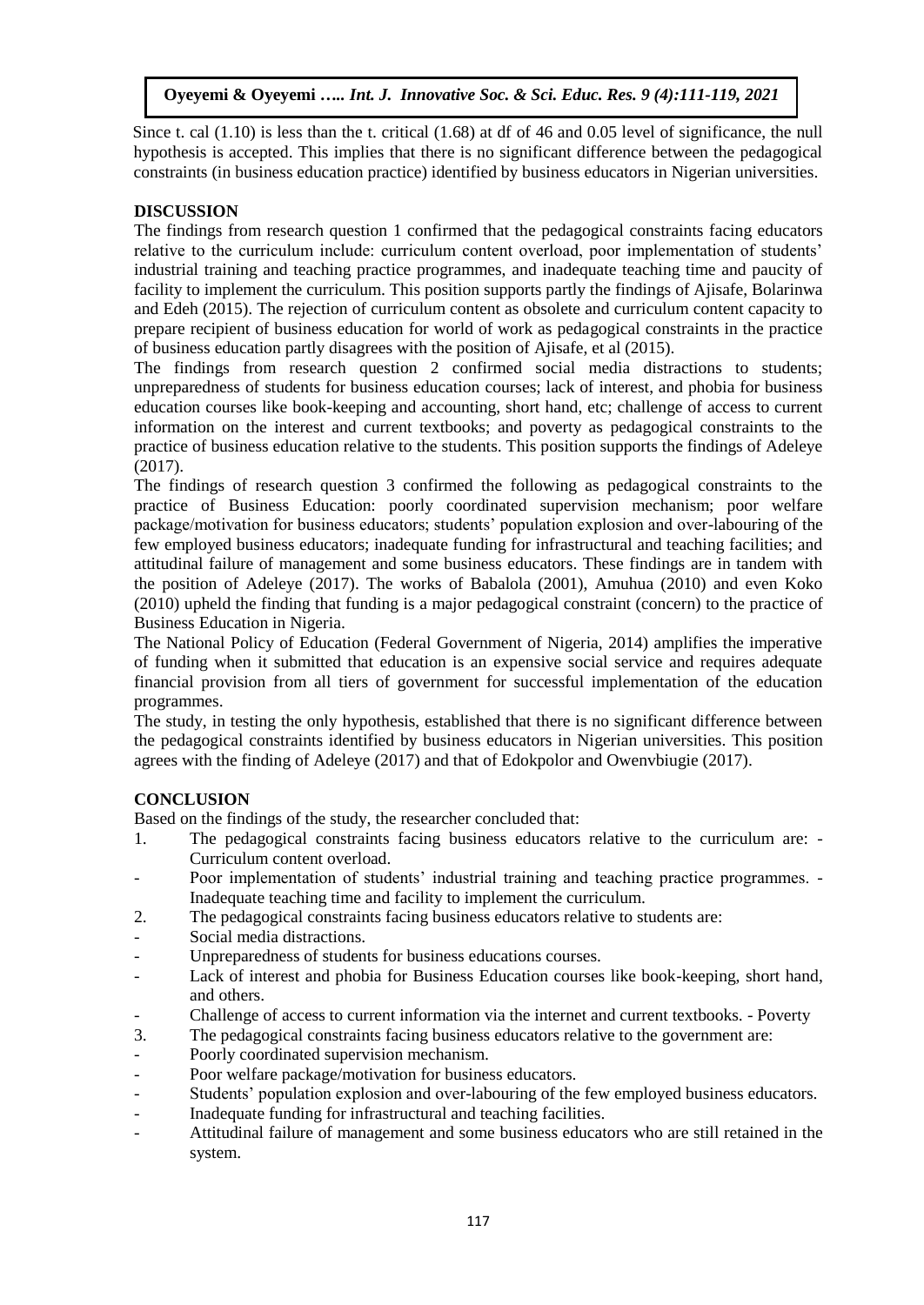Since t. cal (1.10) is less than the t. critical (1.68) at df of 46 and 0.05 level of significance, the null hypothesis is accepted. This implies that there is no significant difference between the pedagogical constraints (in business education practice) identified by business educators in Nigerian universities.

# **DISCUSSION**

The findings from research question 1 confirmed that the pedagogical constraints facing educators relative to the curriculum include: curriculum content overload, poor implementation of students' industrial training and teaching practice programmes, and inadequate teaching time and paucity of facility to implement the curriculum. This position supports partly the findings of Ajisafe, Bolarinwa and Edeh (2015). The rejection of curriculum content as obsolete and curriculum content capacity to prepare recipient of business education for world of work as pedagogical constraints in the practice of business education partly disagrees with the position of Ajisafe, et al (2015).

The findings from research question 2 confirmed social media distractions to students; unpreparedness of students for business education courses; lack of interest, and phobia for business education courses like book-keeping and accounting, short hand, etc; challenge of access to current information on the interest and current textbooks; and poverty as pedagogical constraints to the practice of business education relative to the students. This position supports the findings of Adeleye (2017).

The findings of research question 3 confirmed the following as pedagogical constraints to the practice of Business Education: poorly coordinated supervision mechanism; poor welfare package/motivation for business educators; students' population explosion and over-labouring of the few employed business educators; inadequate funding for infrastructural and teaching facilities; and attitudinal failure of management and some business educators. These findings are in tandem with the position of Adeleye (2017). The works of Babalola (2001), Amuhua (2010) and even Koko (2010) upheld the finding that funding is a major pedagogical constraint (concern) to the practice of Business Education in Nigeria.

The National Policy of Education (Federal Government of Nigeria, 2014) amplifies the imperative of funding when it submitted that education is an expensive social service and requires adequate financial provision from all tiers of government for successful implementation of the education programmes.

The study, in testing the only hypothesis, established that there is no significant difference between the pedagogical constraints identified by business educators in Nigerian universities. This position agrees with the finding of Adeleye (2017) and that of Edokpolor and Owenvbiugie (2017).

# **CONCLUSION**

Based on the findings of the study, the researcher concluded that:

- 1. The pedagogical constraints facing business educators relative to the curriculum are: Curriculum content overload.
- Poor implementation of students' industrial training and teaching practice programmes. Inadequate teaching time and facility to implement the curriculum.
- 2. The pedagogical constraints facing business educators relative to students are:
- Social media distractions.
- Unpreparedness of students for business educations courses.
- Lack of interest and phobia for Business Education courses like book-keeping, short hand, and others.
- Challenge of access to current information via the internet and current textbooks. Poverty
- 3. The pedagogical constraints facing business educators relative to the government are:
- Poorly coordinated supervision mechanism.
- Poor welfare package/motivation for business educators.
- Students' population explosion and over-labouring of the few employed business educators.
- Inadequate funding for infrastructural and teaching facilities.
- Attitudinal failure of management and some business educators who are still retained in the system.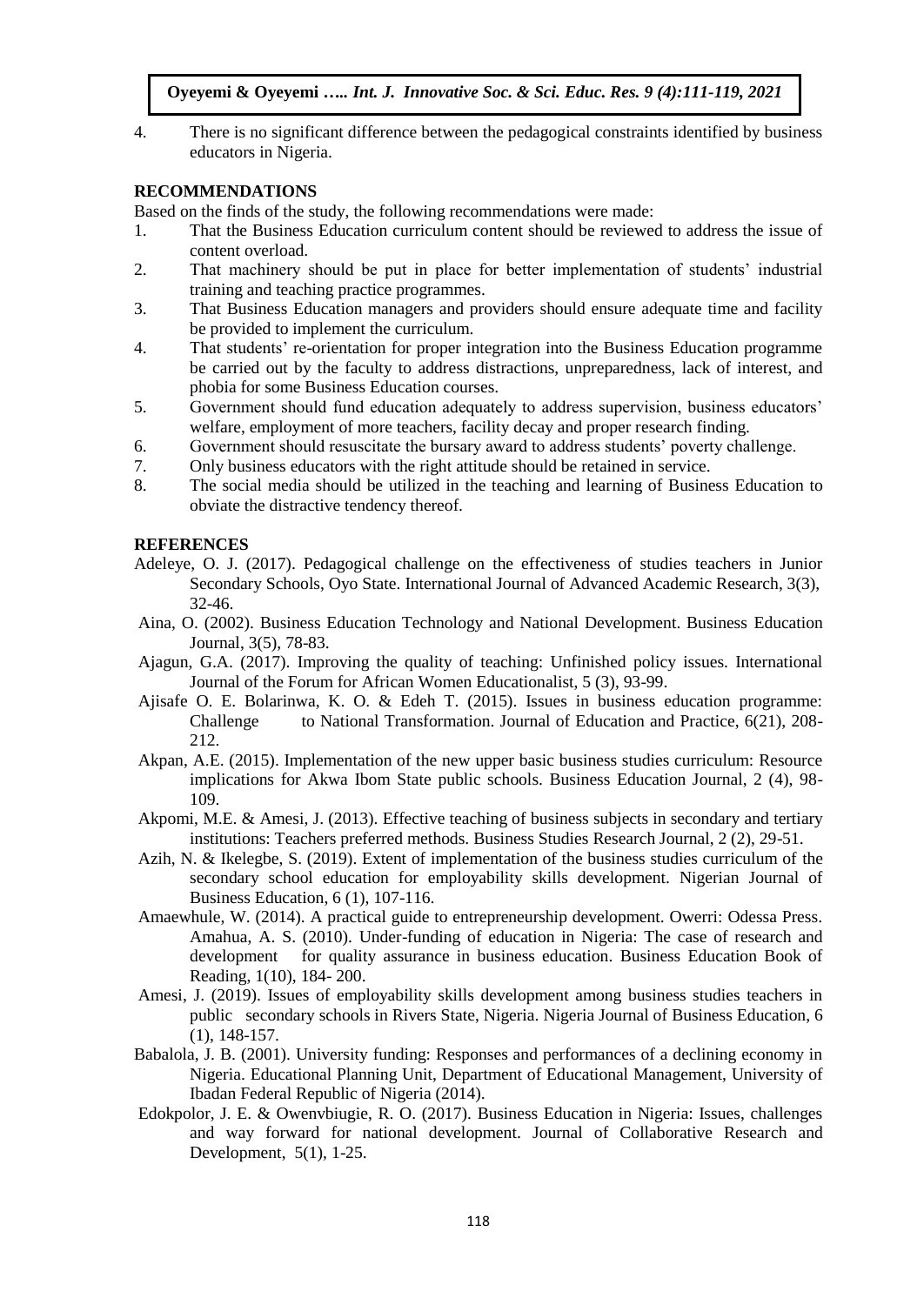4. There is no significant difference between the pedagogical constraints identified by business educators in Nigeria.

#### **RECOMMENDATIONS**

Based on the finds of the study, the following recommendations were made:

- 1. That the Business Education curriculum content should be reviewed to address the issue of content overload.
- 2. That machinery should be put in place for better implementation of students' industrial training and teaching practice programmes.
- 3. That Business Education managers and providers should ensure adequate time and facility be provided to implement the curriculum.
- 4. That students' re-orientation for proper integration into the Business Education programme be carried out by the faculty to address distractions, unpreparedness, lack of interest, and phobia for some Business Education courses.
- 5. Government should fund education adequately to address supervision, business educators' welfare, employment of more teachers, facility decay and proper research finding.
- 6. Government should resuscitate the bursary award to address students' poverty challenge.
- 7. Only business educators with the right attitude should be retained in service.
- 8. The social media should be utilized in the teaching and learning of Business Education to obviate the distractive tendency thereof.

#### **REFERENCES**

- Adeleye, O. J. (2017). Pedagogical challenge on the effectiveness of studies teachers in Junior Secondary Schools, Oyo State. International Journal of Advanced Academic Research, 3(3), 32-46.
- Aina, O. (2002). Business Education Technology and National Development. Business Education Journal, 3(5), 78-83.
- Ajagun, G.A. (2017). Improving the quality of teaching: Unfinished policy issues. International Journal of the Forum for African Women Educationalist, 5 (3), 93-99.
- Ajisafe O. E. Bolarinwa, K. O. & Edeh T. (2015). Issues in business education programme: Challenge to National Transformation. Journal of Education and Practice, 6(21), 208- 212.
- Akpan, A.E. (2015). Implementation of the new upper basic business studies curriculum: Resource implications for Akwa Ibom State public schools. Business Education Journal, 2 (4), 98- 109.
- Akpomi, M.E. & Amesi, J. (2013). Effective teaching of business subjects in secondary and tertiary institutions: Teachers preferred methods. Business Studies Research Journal, 2 (2), 29-51.
- Azih, N. & Ikelegbe, S. (2019). Extent of implementation of the business studies curriculum of the secondary school education for employability skills development. Nigerian Journal of Business Education, 6 (1), 107-116.
- Amaewhule, W. (2014). A practical guide to entrepreneurship development. Owerri: Odessa Press. Amahua, A. S. (2010). Under-funding of education in Nigeria: The case of research and development for quality assurance in business education. Business Education Book of Reading, 1(10), 184- 200.
- Amesi, J. (2019). Issues of employability skills development among business studies teachers in public secondary schools in Rivers State, Nigeria. Nigeria Journal of Business Education, 6 (1), 148-157.
- Babalola, J. B. (2001). University funding: Responses and performances of a declining economy in Nigeria. Educational Planning Unit, Department of Educational Management, University of Ibadan Federal Republic of Nigeria (2014).
- Edokpolor, J. E. & Owenvbiugie, R. O. (2017). Business Education in Nigeria: Issues, challenges and way forward for national development. Journal of Collaborative Research and Development, 5(1), 1-25.